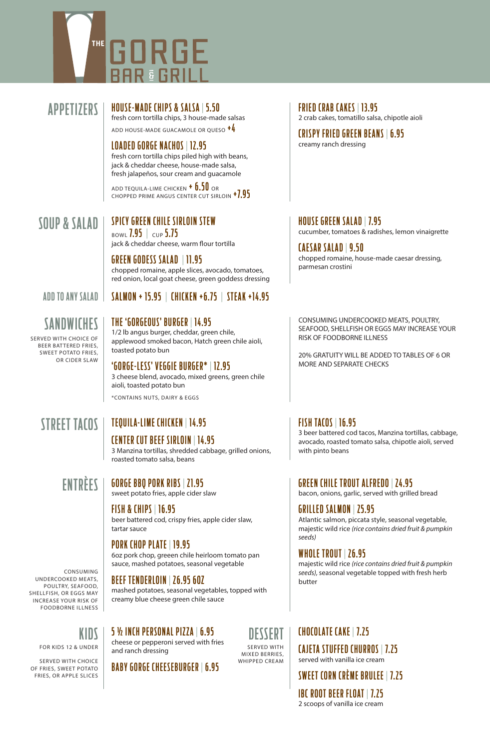# THE GORGE H E

### APPETIZERS HOUSE-MADE CHIPS & SALSA | 5.50

fresh corn tortilla chips, 3 house-made salsas ADD HOUSE-MADE GUACAMOLE OR QUESO +4

#### LOADED GORGE NACHOS | 12.95 fresh corn tortilla chips piled high with beans, jack & cheddar cheese, house-made salsa, fresh jalapeños, sour cream and guacamole

ADD TEQUILA-LIME CHICKEN  $+$   $6.50$  OR CHOPPED PRIME ANGUS CENTER CUT SIRLOIN <sup>+7.95</sup>

## SOUP & SALAD

#### SPICY GREEN CHILE SIRLOIN STEW BOWL  $7.95$  | CUP  $5.75$

jack & cheddar cheese, warm flour tortilla

GREEN GODESS SALAD | 11.95 chopped romaine, apple slices, avocado, tomatoes, red onion, local goat cheese, green goddess dressing

# ADD TO ANY SALAD | SALMON + 15.95 | CHICKEN +6.75 | STEAK +14.95

### SANDWICHES

SERVED WITH CHOICE OF BEER BATTERED FRIES, SWEET POTATO FRIES, OR CIDER SLAW

THE 'GORGEOUS' BURGER | 14.95 1/2 lb angus burger, cheddar, green chile, applewood smoked bacon, Hatch green chile aioli, toasted potato bun

#### 'GORGE-LESS' VEGGIE BURGER\* | 12.95

3 cheese blend, avocado, mixed greens, green chile aioli, toasted potato bun \*CONTAINS NUTS, DAIRY & EGGS

### STREET TACOS

### TEQUILA-LIME CHICKEN | 14.95

roasted tomato salsa, beans

GORGE BBQ PORK RIBS | 21.95

CENTER CUT BEEF SIRLOIN | 14.95 3 Manzina tortillas, shredded cabbage, grilled onions,

# ENTRÈES

CONSUMING UNDERCOOKED MEATS, POULTRY, SEAFOOD, SHELLFISH, OR EGGS MAY INCREASE YOUR RISK OF FOODBORNE ILLNESS

FOR KIDS 12 & UNDER SERVED WITH CHOICE OF FRIES, SWEET POTATO FRIES, OR APPLE SLICES

sweet potato fries, apple cider slaw FISH & CHIPS | 16.95

beer battered cod, crispy fries, apple cider slaw, tartar sauce

#### PORK CHOP PLATE | 19.95

6oz pork chop, greeen chile heirloom tomato pan sauce, mashed potatoes, seasonal vegetable

BEEF TENDERLOIN | 26.95 6OZ

mashed potatoes, seasonal vegetables, topped with creamy blue cheese green chile sauce

KIDS | 5 % INCH PERSONAL PIZZA | 6.95<br>Cheese of perperopi served with fries DESSERT

cheese or pepperoni served with fries and ranch dressing

BABY GORGE CHEESEBURGER | 6.95

SERVED WITH MIXED BERRIES, WHIPPED CREAM FRIED CRAB CAKES | 13.95

2 crab cakes, tomatillo salsa, chipotle aioli

CRISPY FRIED GREEN BEANS | 6.95 creamy ranch dressing

### HOUSE GREEN SALAD | 7.95

cucumber, tomatoes & radishes, lemon vinaigrette

#### CAESAR SALAD | 9.50

chopped romaine, house-made caesar dressing, parmesan crostini

CONSUMING UNDERCOOKED MEATS, POULTRY, SEAFOOD, SHELLFISH OR EGGS MAY INCREASE YOUR RISK OF FOODBORNE ILLNESS

20% GRATUITY WILL BE ADDED TO TABLES OF 6 OR MORE AND SEPARATE CHECKS

#### FISH TACOS | 16.95

3 beer battered cod tacos, Manzina tortillas, cabbage, avocado, roasted tomato salsa, chipotle aioli, served with pinto beans

GREEN CHILE TROUT ALFREDO | 24.95

bacon, onions, garlic, served with grilled bread

GRILLED SALMON | 25.95 Atlantic salmon, piccata style, seasonal vegetable, majestic wild rice *(rice contains dried fruit & pumpkin seeds)*

#### WHOLE TROUT | 26.95

majestic wild rice *(rice contains dried fruit & pumpkin seeds),* seasonal vegetable topped with fresh herb butter

### CHOCOLATE CAKE | 7. 2 5

CAJETA STUFFED CHURROS | 7. 2 5 served with vanilla ice cream

SWEET CORN CRÈME BRULEE | 7. 2 5

IBC ROOT BEER FLOAT | 7. 2 5 2 scoops of vanilla ice cream